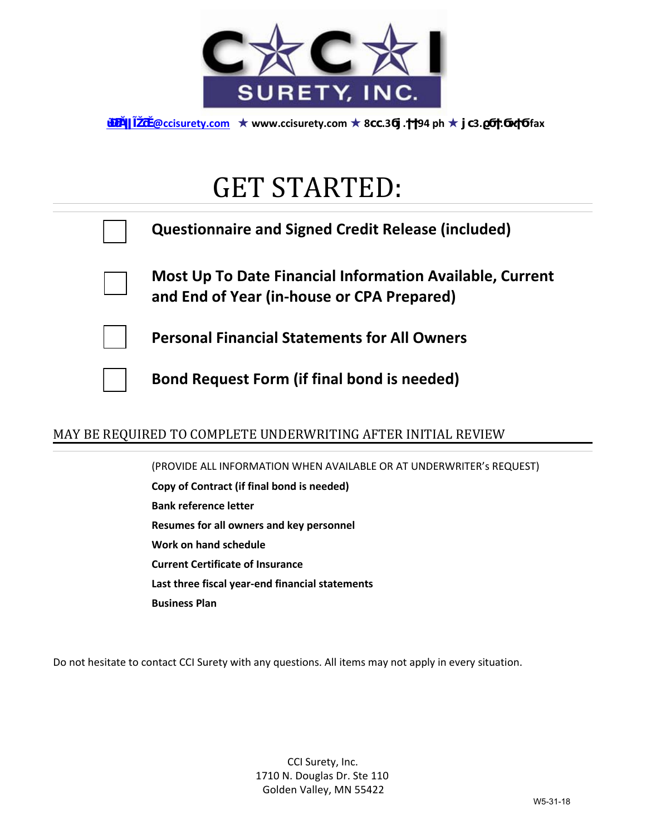

*<u>@ccisurety.com* ★ www.ccisurety.com ★ 8 .3 . 94 ph ★ 3. . fax</u>

## GET STARTED:

| <b>Questionnaire and Signed Credit Release (included)</b>                                              |
|--------------------------------------------------------------------------------------------------------|
| Most Up To Date Financial Information Available, Current<br>and End of Year (in-house or CPA Prepared) |
| <b>Personal Financial Statements for All Owners</b>                                                    |
| <b>Bond Request Form (if final bond is needed)</b>                                                     |

## MAY BE REQUIRED TO COMPLETE UNDERWRITING AFTER INITIAL REVIEW

(PROVIDE ALL INFORMATION WHEN AVAILABLE OR AT UNDERWRITER's REQUEST) **Copy of Contract (if final bond is needed) Bank reference letter Resumes for all owners and key personnel Work on hand schedule Current Certificate of Insurance Last three fiscal year-end financial statements Business Plan**

Do not hesitate to contact CCI Surety with any questions. All items may not apply in every situation.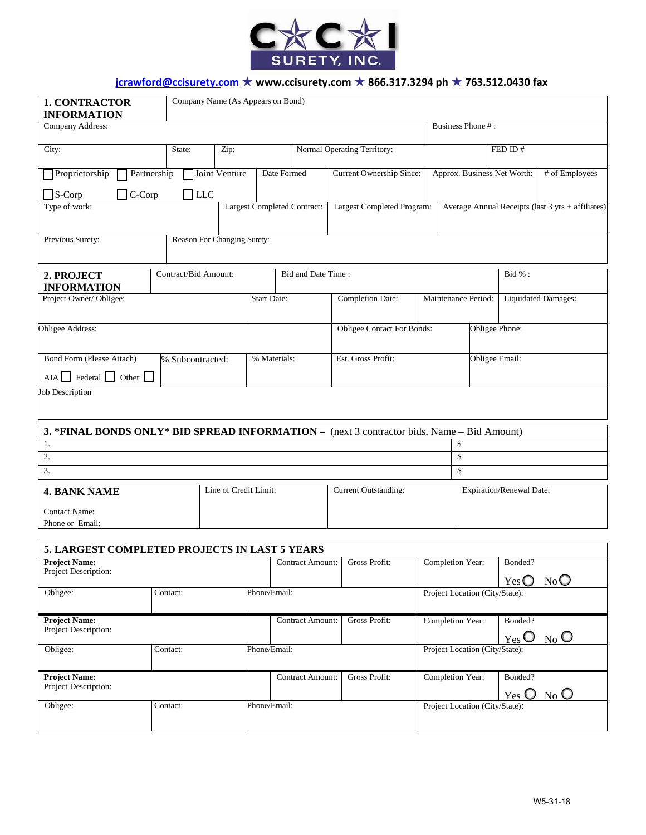

## **jcrawford@ccisurety.com** ★ **www.ccisurety.com** ★ **866.317.3294 ph** ★ **763.512.0430 fax**

| <b>1. CONTRACTOR</b><br><b>INFORMATION</b>                                                 | Company Name (As Appears on Bond) |                       |                                    |                                          |                                   |                                |                                                   |                |                                                 |     |  |
|--------------------------------------------------------------------------------------------|-----------------------------------|-----------------------|------------------------------------|------------------------------------------|-----------------------------------|--------------------------------|---------------------------------------------------|----------------|-------------------------------------------------|-----|--|
| Company Address:                                                                           |                                   |                       |                                    |                                          |                                   | Business Phone #:              |                                                   |                |                                                 |     |  |
| City:                                                                                      | State:                            |                       | Normal Operating Territory:        |                                          |                                   | FED ID#                        |                                                   |                |                                                 |     |  |
| Proprietorship                                                                             | Joint Venture<br>Partnership      |                       |                                    | Date Formed                              | <b>Current Ownership Since:</b>   | Approx. Business Net Worth:    |                                                   | # of Employees |                                                 |     |  |
| $\Box$ S-Corp<br>$\Box$ LLC<br>$\exists$ C-Corp                                            |                                   |                       |                                    |                                          |                                   |                                |                                                   |                |                                                 |     |  |
| Type of work:                                                                              |                                   |                       | <b>Largest Completed Contract:</b> |                                          | Largest Completed Program:        |                                | Average Annual Receipts (last 3 yrs + affiliates) |                |                                                 |     |  |
| Previous Surety:                                                                           | Reason For Changing Surety:       |                       |                                    |                                          |                                   |                                |                                                   |                |                                                 |     |  |
| 2. PROJECT<br><b>INFORMATION</b>                                                           | Contract/Bid Amount:              |                       |                                    | Bid and Date Time:                       |                                   |                                |                                                   |                | Bid % :                                         |     |  |
| Project Owner/Obligee:                                                                     |                                   |                       | <b>Start Date:</b>                 |                                          | <b>Completion Date:</b>           | Maintenance Period:            |                                                   |                | <b>Liquidated Damages:</b>                      |     |  |
| Obligee Address:                                                                           |                                   |                       |                                    |                                          | <b>Obligee Contact For Bonds:</b> |                                |                                                   |                | Obligee Phone:                                  |     |  |
| Bond Form (Please Attach)<br>% Subcontracted:<br>$AIA$ Federal $\Box$ Other                |                                   |                       | % Materials:                       |                                          | Est. Gross Profit:                |                                |                                                   | Obligee Email: |                                                 |     |  |
| <b>Job Description</b>                                                                     |                                   |                       |                                    |                                          |                                   |                                |                                                   |                |                                                 |     |  |
| 3. *FINAL BONDS ONLY* BID SPREAD INFORMATION - (next 3 contractor bids, Name - Bid Amount) |                                   |                       |                                    |                                          |                                   |                                |                                                   |                |                                                 |     |  |
| 1.<br>2.                                                                                   |                                   |                       |                                    |                                          |                                   |                                | \$<br>\$                                          |                |                                                 |     |  |
| 3.                                                                                         |                                   |                       |                                    |                                          | \$                                |                                |                                                   |                |                                                 |     |  |
| <b>4. BANK NAME</b>                                                                        |                                   | Line of Credit Limit: |                                    |                                          | <b>Current Outstanding:</b>       |                                |                                                   |                | Expiration/Renewal Date:                        |     |  |
| <b>Contact Name:</b>                                                                       |                                   |                       |                                    |                                          |                                   |                                |                                                   |                |                                                 |     |  |
| Phone or Email:                                                                            |                                   |                       |                                    |                                          |                                   |                                |                                                   |                |                                                 |     |  |
| 5. LARGEST COMPLETED PROJECTS IN LAST 5 YEARS                                              |                                   |                       |                                    |                                          |                                   |                                |                                                   |                |                                                 |     |  |
| <b>Project Name:</b>                                                                       |                                   |                       |                                    | <b>Contract Amount:</b>                  | Gross Profit:                     |                                | Completion Year:                                  |                | Bonded?                                         |     |  |
| Project Description:                                                                       |                                   |                       |                                    |                                          |                                   |                                |                                                   |                | $Yes$ $\bigcirc$                                | NoO |  |
| Obligee:                                                                                   | Contact:                          |                       | Phone/Email:                       |                                          |                                   |                                | Project Location (City/State):                    |                |                                                 |     |  |
| <b>Project Name:</b><br>Project Description:                                               |                                   |                       |                                    | <b>Contract Amount:</b><br>Gross Profit: |                                   |                                | Completion Year:<br>Bonded?<br>$Yes$ O No O       |                |                                                 |     |  |
| Obligee:                                                                                   | Contact:                          |                       | Phone/Email:                       |                                          |                                   |                                | Project Location (City/State):                    |                |                                                 |     |  |
| <b>Project Name:</b><br>Project Description:                                               |                                   |                       |                                    | <b>Contract Amount:</b>                  | Gross Profit:                     |                                | Completion Year:                                  |                | Bonded?<br>$_{\text{No}}$ O<br>$Yes$ $\bigcirc$ |     |  |
| Obligee:<br>Contact:                                                                       |                                   | Phone/Email:          |                                    |                                          |                                   | Project Location (City/State): |                                                   |                |                                                 |     |  |